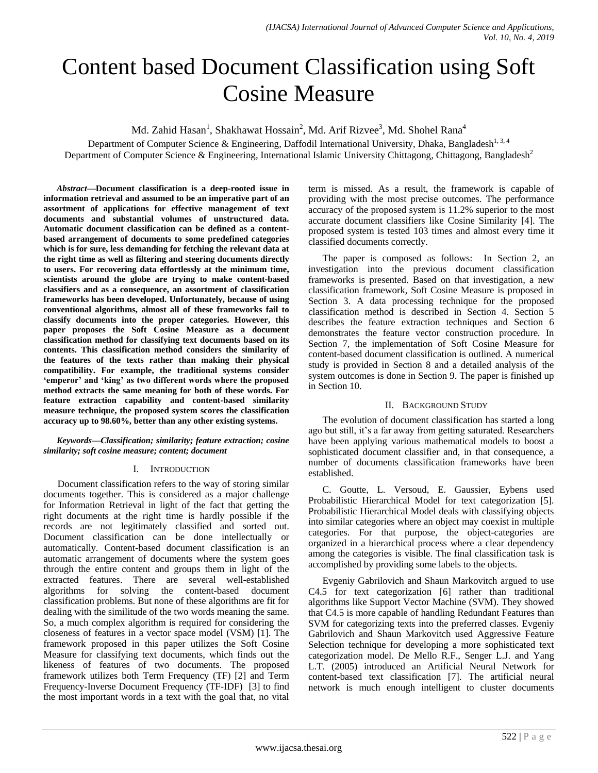# Content based Document Classification using Soft Cosine Measure

Md. Zahid Hasan<sup>1</sup>, Shakhawat Hossain<sup>2</sup>, Md. Arif Rizvee<sup>3</sup>, Md. Shohel Rana<sup>4</sup>

Department of Computer Science & Engineering, Daffodil International University, Dhaka, Bangladesh<sup>1, 3, 4</sup> Department of Computer Science & Engineering, International Islamic University Chittagong, Chittagong, Bangladesh<sup>2</sup>

*Abstract***—Document classification is a deep-rooted issue in information retrieval and assumed to be an imperative part of an assortment of applications for effective management of text documents and substantial volumes of unstructured data. Automatic document classification can be defined as a contentbased arrangement of documents to some predefined categories which is for sure, less demanding for fetching the relevant data at the right time as well as filtering and steering documents directly to users. For recovering data effortlessly at the minimum time, scientists around the globe are trying to make content-based classifiers and as a consequence, an assortment of classification frameworks has been developed. Unfortunately, because of using conventional algorithms, almost all of these frameworks fail to classify documents into the proper categories. However, this paper proposes the Soft Cosine Measure as a document classification method for classifying text documents based on its contents. This classification method considers the similarity of the features of the texts rather than making their physical compatibility. For example, the traditional systems consider 'emperor' and 'king' as two different words where the proposed method extracts the same meaning for both of these words. For feature extraction capability and content-based similarity measure technique, the proposed system scores the classification accuracy up to 98.60%, better than any other existing systems.**

## *Keywords—Classification; similarity; feature extraction; cosine similarity; soft cosine measure; content; document*

## I. INTRODUCTION

Document classification refers to the way of storing similar documents together. This is considered as a major challenge for Information Retrieval in light of the fact that getting the right documents at the right time is hardly possible if the records are not legitimately classified and sorted out. Document classification can be done intellectually or automatically. Content-based document classification is an automatic arrangement of documents where the system goes through the entire content and groups them in light of the extracted features. There are several well-established algorithms for solving the content-based document classification problems. But none of these algorithms are fit for dealing with the similitude of the two words meaning the same. So, a much complex algorithm is required for considering the closeness of features in a vector space model (VSM) [1]. The framework proposed in this paper utilizes the Soft Cosine Measure for classifying text documents, which finds out the likeness of features of two documents. The proposed framework utilizes both Term Frequency (TF) [2] and Term Frequency-Inverse Document Frequency (TF-IDF) [3] to find the most important words in a text with the goal that, no vital

term is missed. As a result, the framework is capable of providing with the most precise outcomes. The performance accuracy of the proposed system is 11.2% superior to the most accurate document classifiers like Cosine Similarity [4]. The proposed system is tested 103 times and almost every time it classified documents correctly.

The paper is composed as follows: In Section 2, an investigation into the previous document classification frameworks is presented. Based on that investigation, a new classification framework, Soft Cosine Measure is proposed in Section 3. A data processing technique for the proposed classification method is described in Section 4. Section 5 describes the feature extraction techniques and Section 6 demonstrates the feature vector construction procedure. In Section 7, the implementation of Soft Cosine Measure for content-based document classification is outlined. A numerical study is provided in Section 8 and a detailed analysis of the system outcomes is done in Section 9. The paper is finished up in Section 10.

# II. BACKGROUND STUDY

The evolution of document classification has started a long ago but still, it's a far away from getting saturated. Researchers have been applying various mathematical models to boost a sophisticated document classifier and, in that consequence, a number of documents classification frameworks have been established.

C. Goutte, L. Versoud, E. Gaussier, Eybens used Probabilistic Hierarchical Model for text categorization [5]. Probabilistic Hierarchical Model deals with classifying objects into similar categories where an object may coexist in multiple categories. For that purpose, the object-categories are organized in a hierarchical process where a clear dependency among the categories is visible. The final classification task is accomplished by providing some labels to the objects.

Evgeniy Gabrilovich and Shaun Markovitch argued to use C4.5 for text categorization [6] rather than traditional algorithms like Support Vector Machine (SVM). They showed that C4.5 is more capable of handling Redundant Features than SVM for categorizing texts into the preferred classes. Evgeniy Gabrilovich and Shaun Markovitch used Aggressive Feature Selection technique for developing a more sophisticated text categorization model. De Mello R.F., Senger L.J. and Yang L.T. (2005) introduced an Artificial Neural Network for content-based text classification [7]. The artificial neural network is much enough intelligent to cluster documents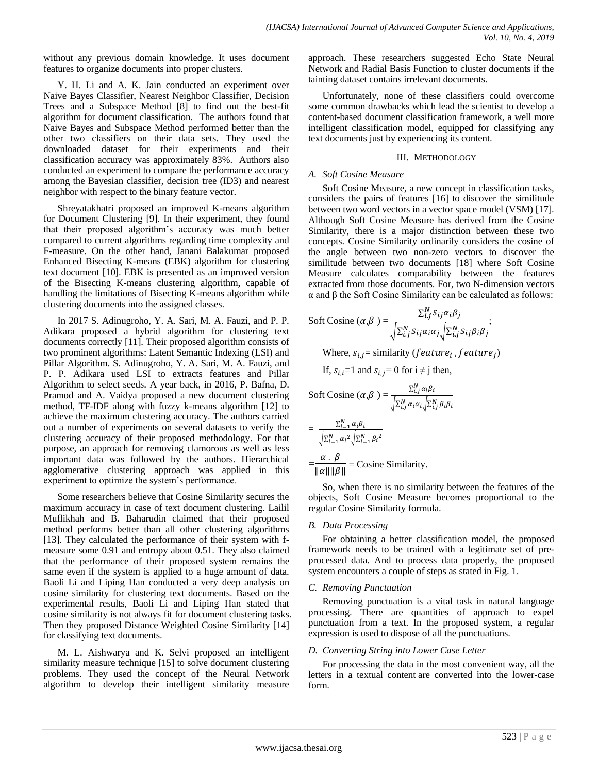without any previous domain knowledge. It uses document features to organize documents into proper clusters.

Y. H. Li and A. K. Jain conducted an experiment over Naive Bayes Classifier, Nearest Neighbor Classifier, Decision Trees and a Subspace Method [8] to find out the best-fit algorithm for document classification. The authors found that Naive Bayes and Subspace Method performed better than the other two classifiers on their data sets. They used the downloaded dataset for their experiments and their classification accuracy was approximately 83%. Authors also conducted an experiment to compare the performance accuracy among the Bayesian classifier, decision tree (ID3) and nearest neighbor with respect to the binary feature vector.

Shreyatakhatri proposed an improved K-means algorithm for Document Clustering [9]. In their experiment, they found that their proposed algorithm's accuracy was much better compared to current algorithms regarding time complexity and F-measure. On the other hand, Janani Balakumar proposed Enhanced Bisecting K-means (EBK) algorithm for clustering text document [10]. EBK is presented as an improved version of the Bisecting K-means clustering algorithm, capable of handling the limitations of Bisecting K-means algorithm while clustering documents into the assigned classes.

In 2017 S. Adinugroho, Y. A. Sari, M. A. Fauzi, and P. P. Adikara proposed a hybrid algorithm for clustering text documents correctly [11]. Their proposed algorithm consists of two prominent algorithms: Latent Semantic Indexing (LSI) and Pillar Algorithm. S. Adinugroho, Y. A. Sari, M. A. Fauzi, and P. P. Adikara used LSI to extracts features and Pillar Algorithm to select seeds. A year back, in 2016, P. Bafna, D. Pramod and A. Vaidya proposed a new document clustering method, TF-IDF along with fuzzy k-means algorithm [12] to achieve the maximum clustering accuracy. The authors carried out a number of experiments on several datasets to verify the clustering accuracy of their proposed methodology. For that purpose, an approach for removing clamorous as well as less important data was followed by the authors. Hierarchical agglomerative clustering approach was applied in this experiment to optimize the system's performance.

Some researchers believe that Cosine Similarity secures the maximum accuracy in case of text document clustering. Lailil Muflikhah and B. Baharudin claimed that their proposed method performs better than all other clustering algorithms [13]. They calculated the performance of their system with fmeasure some 0.91 and entropy about 0.51. They also claimed that the performance of their proposed system remains the same even if the system is applied to a huge amount of data. Baoli Li and Liping Han conducted a very deep analysis on cosine similarity for clustering text documents. Based on the experimental results, Baoli Li and Liping Han stated that cosine similarity is not always fit for document clustering tasks. Then they proposed Distance Weighted Cosine Similarity [14] for classifying text documents.

M. L. Aishwarya and K. Selvi proposed an intelligent similarity measure technique [15] to solve document clustering problems. They used the concept of the Neural Network algorithm to develop their intelligent similarity measure approach. These researchers suggested Echo State Neural Network and Radial Basis Function to cluster documents if the tainting dataset contains irrelevant documents.

Unfortunately, none of these classifiers could overcome some common drawbacks which lead the scientist to develop a content-based document classification framework, a well more intelligent classification model, equipped for classifying any text documents just by experiencing its content.

## III. METHODOLOGY

# *A. Soft Cosine Measure*

Soft Cosine Measure, a new concept in classification tasks, considers the pairs of features [16] to discover the similitude between two word vectors in a vector space model (VSM) [17]. Although Soft Cosine Measure has derived from the Cosine Similarity, there is a major distinction between these two concepts. Cosine Similarity ordinarily considers the cosine of the angle between two non-zero vectors to discover the similitude between two documents [18] where Soft Cosine Measure calculates comparability between the features extracted from those documents. For, two N-dimension vectors α and β the Soft Cosine Similarity can be calculated as follows:

Soft Cosine 
$$
(\alpha, \beta)
$$
 =  $\frac{\sum_{i,j}^{N} S_{ij} \alpha_i \beta_j}{\sqrt{\sum_{i,j}^{N} S_{ij} \alpha_i \alpha_j} \sqrt{\sum_{i,j}^{N} S_{ij} \beta_i \beta_j}}$ ;  
\nWhere,  $s_{i,j}$  = similarity (*feature<sub>i</sub>*, *feature<sub>j</sub>*)  
\nIf,  $s_{i,i}$ =1 and  $s_{i,j}$ =0 for  $i \neq j$  then,  
\nSoft Cosine  $(\alpha, \beta)$  =  $\frac{\sum_{i,j}^{N} \alpha_i \beta_i}{\sqrt{\sum_{i,j}^{N} \alpha_i \alpha_i} \sqrt{\sum_{i,j}^{N} \beta_i \beta_i}}$   
\n=  $\frac{\sum_{i=1}^{N} \alpha_i \beta_i}{\sqrt{\sum_{i=1}^{N} \alpha_i^2} \sqrt{\sum_{i=1}^{N} \beta_i^2}}$   
\n=  $\frac{\alpha \cdot \beta}{\| \alpha \| \| \beta \|}$  = Cosine Similarity.

So, when there is no similarity between the features of the objects, Soft Cosine Measure becomes proportional to the regular Cosine Similarity formula.

## *B. Data Processing*

For obtaining a better classification model, the proposed framework needs to be trained with a legitimate set of preprocessed data. And to process data properly, the proposed system encounters a couple of steps as stated in Fig. 1.

## *C. Removing Punctuation*

Removing punctuation is a vital task in natural language processing. There are quantities of approach to expel punctuation from a text. In the proposed system, a regular expression is used to dispose of all the punctuations.

## *D. Converting String into Lower Case Letter*

For processing the data in the most convenient way, all the letters in a textual content are converted into the lower-case form.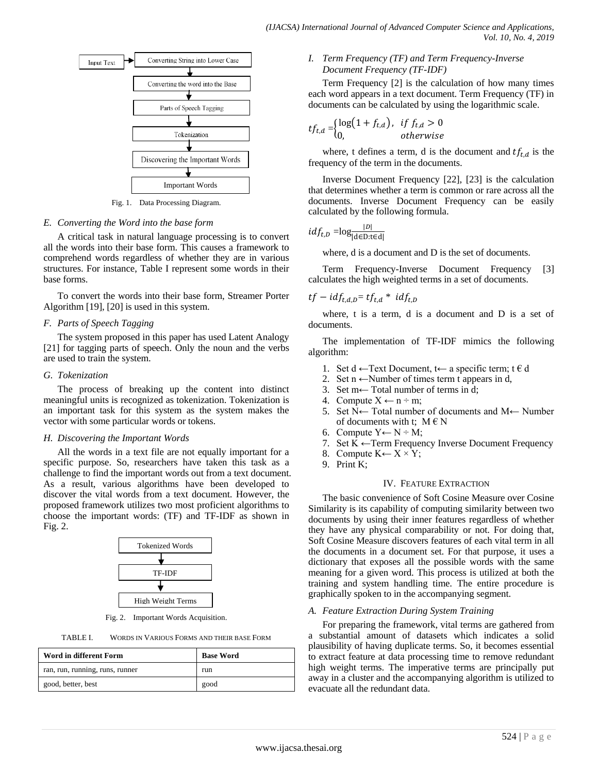

Fig. 1. Data Processing Diagram.

#### *E. Converting the Word into the base form*

A critical task in natural language processing is to convert all the words into their base form. This causes a framework to comprehend words regardless of whether they are in various structures. For instance, Table I represent some words in their base forms.

To convert the words into their base form, Streamer Porter Algorithm [19], [20] is used in this system.

## *F. Parts of Speech Tagging*

The system proposed in this paper has used Latent Analogy [21] for tagging parts of speech. Only the noun and the verbs are used to train the system.

#### *G. Tokenization*

The process of breaking up the content into distinct meaningful units is recognized as tokenization. Tokenization is an important task for this system as the system makes the vector with some particular words or tokens.

#### *H. Discovering the Important Words*

All the words in a text file are not equally important for a specific purpose. So, researchers have taken this task as a challenge to find the important words out from a text document. As a result, various algorithms have been developed to discover the vital words from a text document. However, the proposed framework utilizes two most proficient algorithms to choose the important words: (TF) and TF-IDF as shown in Fig. 2.



Fig. 2. Important Words Acquisition.

TABLE I. WORDS IN VARIOUS FORMS AND THEIR BASE FORM

| Word in different Form          | <b>Base Word</b> |
|---------------------------------|------------------|
| ran, run, running, runs, runner | run              |
| good, better, best              | good             |

## *I. Term Frequency (TF) and Term Frequency-Inverse Document Frequency (TF-IDF)*

Term Frequency [2] is the calculation of how many times each word appears in a text document. Term Frequency (TF) in documents can be calculated by using the logarithmic scale.

$$
tf_{t,d} = \begin{cases} \log(1 + f_{t,d}), & \text{if } f_{t,d} > 0 \\ 0, & \text{otherwise} \end{cases}
$$

where, t defines a term, d is the document and  $tf_{t,d}$  is the frequency of the term in the documents.

Inverse Document Frequency [22], [23] is the calculation that determines whether a term is common or rare across all the documents. Inverse Document Frequency can be easily calculated by the following formula.

$$
idf_{t,D} = \log \frac{|D|}{|\mathbf{d}\in \mathbf{D}:\mathbf{t}\in \mathbf{d}|}
$$

where, d is a document and D is the set of documents.

Term Frequency-Inverse Document Frequency [3] calculates the high weighted terms in a set of documents.

$$
tf - idf_{t,d,D} = tf_{t,d} * idf_{t,D}
$$

where, t is a term, d is a document and D is a set of documents.

The implementation of TF-IDF mimics the following algorithm:

- 1. Set d ← Text Document, t← a specific term; t  $\in$  d
- 2. Set n  $\leftarrow$ Number of times term t appears in d,
- 3. Set m← Total number of terms in d;
- 4. Compute  $X \leftarrow n \div m$ ;
- 5. Set N← Total number of documents and M← Number of documents with t;  $M \in N$
- 6. Compute  $Y \leftarrow N \div M$ ;
- 7. Set  $K \leftarrow$  Term Frequency Inverse Document Frequency
- 8. Compute  $K \leftarrow X \times Y$ ;
- 9. Print K;

## IV. FEATURE EXTRACTION

The basic convenience of Soft Cosine Measure over Cosine Similarity is its capability of computing similarity between two documents by using their inner features regardless of whether they have any physical comparability or not. For doing that, Soft Cosine Measure discovers features of each vital term in all the documents in a document set. For that purpose, it uses a dictionary that exposes all the possible words with the same meaning for a given word. This process is utilized at both the training and system handling time. The entire procedure is graphically spoken to in the accompanying segment.

#### *A. Feature Extraction During System Training*

For preparing the framework, vital terms are gathered from a substantial amount of datasets which indicates a solid plausibility of having duplicate terms. So, it becomes essential to extract feature at data processing time to remove redundant high weight terms. The imperative terms are principally put away in a cluster and the accompanying algorithm is utilized to evacuate all the redundant data.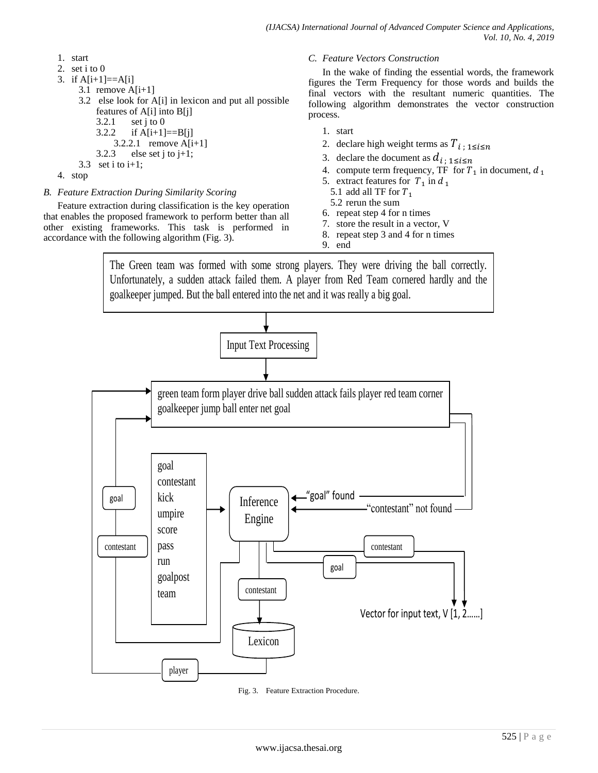- 1. start
- 2. set i to 0
- 3. if  $A[i+1]=-A[i]$
- 3.1 remove  $A[i+1]$ 
	- 3.2 else look for A[i] in lexicon and put all possible features of A[i] into B[j]  $3.2.1$  set j to 0 3.2.2 if  $A[i+1]=B[i]$ 3.2.2.1 remove A[i+1] 3.2.3 else set j to  $j+1$ ;
	- 3.3 set i to  $i+1$ ;
- 4. stop
- *B. Feature Extraction During Similarity Scoring*

Feature extraction during classification is the key operation that enables the proposed framework to perform better than all other existing frameworks. This task is performed in accordance with the following algorithm (Fig. 3).

## *C. Feature Vectors Construction*

In the wake of finding the essential words, the framework figures the Term Frequency for those words and builds the final vectors with the resultant numeric quantities. The following algorithm demonstrates the vector construction process.

- 1. start
- 2. declare high weight terms as  $T_{i; 1 \le i \le n}$
- 3. declare the document as  $d_{i \text{ : } 1 \leq i \leq n}$
- 4. compute term frequency, TF for  $T_1$  in document,
- 5. extract features for  $T_1$  in
- 5.1 add all TF for  $T_1$
- 5.2 rerun the sum
- 6. repeat step 4 for n times
- 7. store the result in a vector, V
- 8. repeat step 3 and 4 for n times 9. end

The Green team was formed with some strong players. They were driving the ball correctly. Unfortunately, a sudden attack failed them. A player from Red Team cornered hardly and the goalkeeper jumped. But the ball entered into the net and it was really a big goal.



Fig. 3. Feature Extraction Procedure.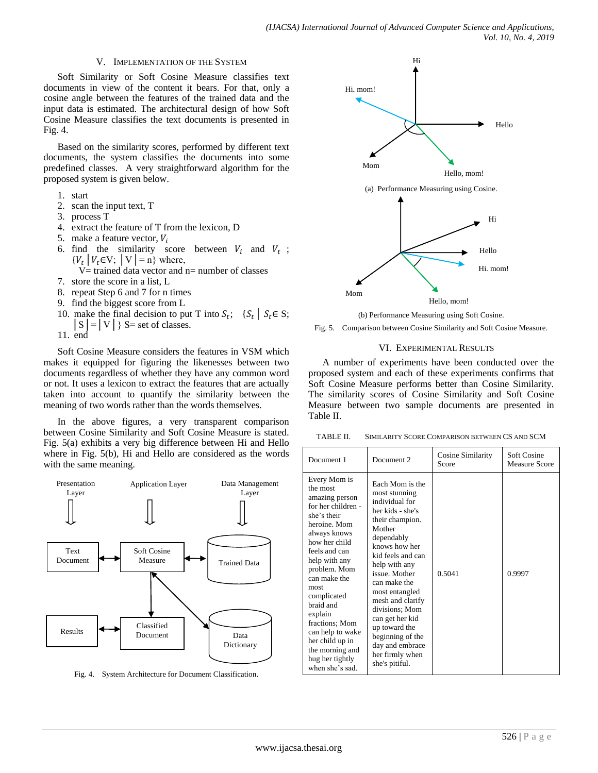## V. IMPLEMENTATION OF THE SYSTEM

Soft Similarity or Soft Cosine Measure classifies text documents in view of the content it bears. For that, only a cosine angle between the features of the trained data and the input data is estimated. The architectural design of how Soft Cosine Measure classifies the text documents is presented in Fig. 4.

Based on the similarity scores, performed by different text documents, the system classifies the documents into some predefined classes. A very straightforward algorithm for the proposed system is given below.

- 1. start
- 2. scan the input text, T
- 3. process T
- 4. extract the feature of T from the lexicon, D
- 5. make a feature vector,  $V_i$
- 6. find the similarity score between  $V_i$  and  $V_t$ ;  ${V_t | V_t \in V; | V| = n}$  where,
- $V=$  trained data vector and n= number of classes
- 7. store the score in a list, L
- 8. repeat Step 6 and 7 for n times
- 9. find the biggest score from L
- 10. make the final decision to put T into  $S_t$ ;  $\{S_t | S_t \in S;$  $|S| = |V|$  } S = set of classes.
- 11. end

Soft Cosine Measure considers the features in VSM which makes it equipped for figuring the likenesses between two documents regardless of whether they have any common word or not. It uses a lexicon to extract the features that are actually taken into account to quantify the similarity between the meaning of two words rather than the words themselves.

In the above figures, a very transparent comparison between Cosine Similarity and Soft Cosine Measure is stated. Fig. 5(a) exhibits a very big difference between Hi and Hello where in Fig. 5(b), Hi and Hello are considered as the words with the same meaning.



Fig. 4. System Architecture for Document Classification.



(b) Performance Measuring using Soft Cosine.

Fig. 5. Comparison between Cosine Similarity and Soft Cosine Measure.

## VI. EXPERIMENTAL RESULTS

A number of experiments have been conducted over the proposed system and each of these experiments confirms that Soft Cosine Measure performs better than Cosine Similarity. The similarity scores of Cosine Similarity and Soft Cosine Measure between two sample documents are presented in Table II.

TABLE II. SIMILARITY SCORE COMPARISON BETWEEN CS AND SCM

| Document 1                                                                                                                                                                                                                                                                                                                                                          | Document <sub>2</sub>                                                                                                                                                                                                                                                                                                                                                             | Cosine Similarity<br>Score | Soft Cosine<br><b>Measure Score</b> |
|---------------------------------------------------------------------------------------------------------------------------------------------------------------------------------------------------------------------------------------------------------------------------------------------------------------------------------------------------------------------|-----------------------------------------------------------------------------------------------------------------------------------------------------------------------------------------------------------------------------------------------------------------------------------------------------------------------------------------------------------------------------------|----------------------------|-------------------------------------|
| Every Mom is<br>the most<br>amazing person<br>for her children -<br>she's their<br>heroine. Mom<br>always knows<br>how her child<br>feels and can<br>help with any<br>problem. Mom<br>can make the<br>most<br>complicated<br>braid and<br>explain<br>fractions: Mom<br>can help to wake<br>her child up in<br>the morning and<br>hug her tightly<br>when she's sad. | Each Mom is the<br>most stunning<br>individual for<br>her kids - she's<br>their champion.<br>Mother<br>dependably<br>knows how her<br>kid feels and can<br>help with any<br>issue. Mother<br>can make the<br>most entangled<br>mesh and clarify<br>divisions; Mom<br>can get her kid<br>up toward the<br>beginning of the<br>day and embrace<br>her firmly when<br>she's pitiful. | 0.5041                     | 0.9997                              |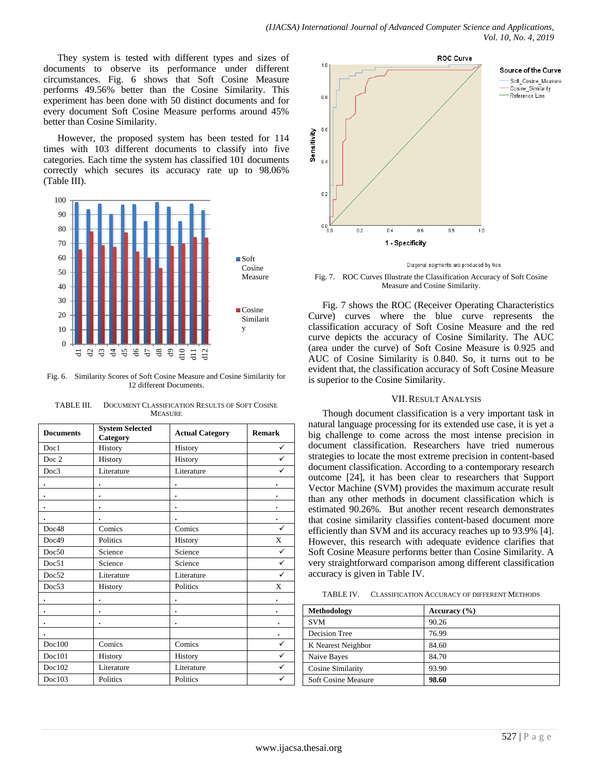They system is tested with different types and sizes of documents to observe its performance under different circumstances. Fig. 6 shows that Soft Cosine Measure performs 49.56% better than the Cosine Similarity. This experiment has been done with 50 distinct documents and for every document Soft Cosine Measure performs around 45% better than Cosine Similarity.

However, the proposed system has been tested for 114 times with 103 different documents to classify into five categories. Each time the system has classified 101 documents correctly which secures its accuracy rate up to 98.06% (Table III).



Fig. 6. Similarity Scores of Soft Cosine Measure and Cosine Similarity for 12 different Documents.

| <b>Documents</b> | <b>System Selected</b><br>Category | <b>Actual Category</b> | <b>Remark</b> |
|------------------|------------------------------------|------------------------|---------------|
| Doc1             | History                            | History                | ✓             |
| Doc 2            | History                            | History                | ✓             |
| Doc3             | Literature                         | Literature             | ✓             |
|                  |                                    |                        |               |
|                  |                                    |                        |               |
|                  |                                    |                        |               |
|                  |                                    |                        | ٠             |
| Doc48            | Comics                             | Comics                 | $\checkmark$  |
| Doc49            | Politics                           | History                | X             |
| Doc50            | Science                            | Science                | ✓             |
| Doc51            | Science                            | Science                | ✓             |
| Doc52            | Literature                         | Literature             | ✓             |
| Doc53            | History                            | Politics               | X             |
|                  |                                    |                        | ٠             |
|                  |                                    |                        |               |
|                  |                                    |                        |               |
|                  |                                    |                        |               |
| Doc100           | Comics                             | Comics                 | ✓             |
| Doc101           | History                            | History                | ✓             |
| Doc102           | Literature                         | Literature             | ✓             |
| Doc103           | Politics                           | Politics               | ✓             |

TABLE III. DOCUMENT CLASSIFICATION RESULTS OF SOFT COSINE **MEASURE** 



Diagonal segments are produced by ties.

Fig. 7. ROC Curves Illustrate the Classification Accuracy of Soft Cosine Measure and Cosine Similarity.

Fig. 7 shows the ROC (Receiver Operating Characteristics Curve) curves where the blue curve represents the classification accuracy of Soft Cosine Measure and the red curve depicts the accuracy of Cosine Similarity. The AUC (area under the curve) of Soft Cosine Measure is 0.925 and AUC of Cosine Similarity is 0.840. So, it turns out to be evident that, the classification accuracy of Soft Cosine Measure is superior to the Cosine Similarity.

## VII.RESULT ANALYSIS

Though document classification is a very important task in natural language processing for its extended use case, it is yet a big challenge to come across the most intense precision in document classification. Researchers have tried numerous strategies to locate the most extreme precision in content-based document classification. According to a contemporary research outcome [24], it has been clear to researchers that Support Vector Machine (SVM) provides the maximum accurate result than any other methods in document classification which is estimated 90.26%. But another recent research demonstrates that cosine similarity classifies content-based document more efficiently than SVM and its accuracy reaches up to 93.9% [4]. However, this research with adequate evidence clarifies that Soft Cosine Measure performs better than Cosine Similarity. A very straightforward comparison among different classification accuracy is given in Table IV.

TABLE IV. CLASSIFICATION ACCURACY OF DIFFERENT METHODS.

| Methodology         | Accuracy $(\% )$ |
|---------------------|------------------|
| <b>SVM</b>          | 90.26            |
| Decision Tree       | 76.99            |
| K Nearest Neighbor  | 84.60            |
| Naive Bayes         | 84.70            |
| Cosine Similarity   | 93.90            |
| Soft Cosine Measure | 98.60            |